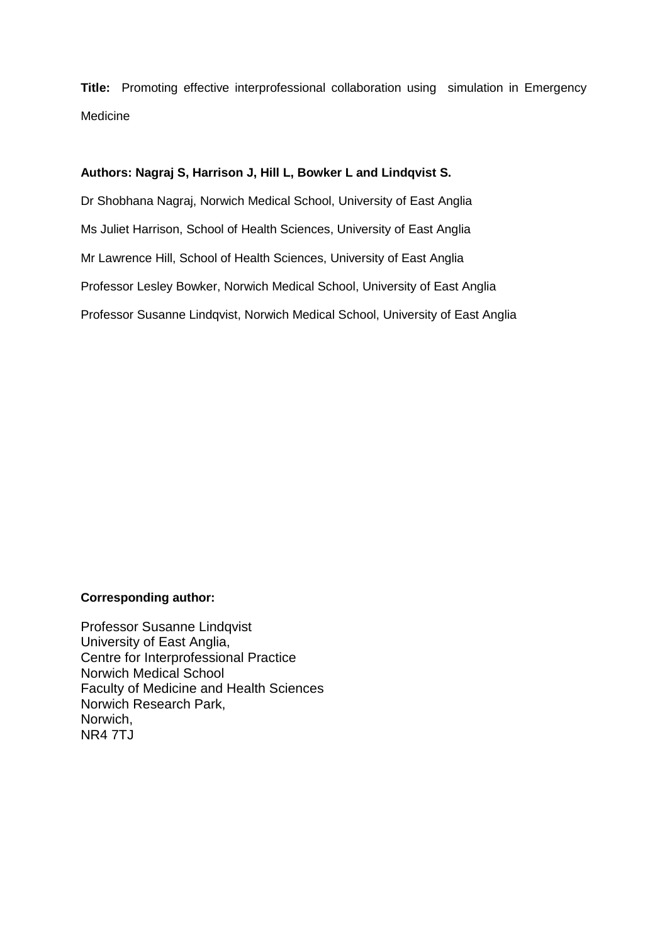**Title:** Promoting effective interprofessional collaboration using simulation in Emergency Medicine

## **Authors: Nagraj S, Harrison J, Hill L, Bowker L and Lindqvist S.**

Dr Shobhana Nagraj, Norwich Medical School, University of East Anglia Ms Juliet Harrison, School of Health Sciences, University of East Anglia Mr Lawrence Hill, School of Health Sciences, University of East Anglia Professor Lesley Bowker, Norwich Medical School, University of East Anglia Professor Susanne Lindqvist, Norwich Medical School, University of East Anglia

## **Corresponding author:**

Professor Susanne Lindqvist University of East Anglia, Centre for Interprofessional Practice Norwich Medical School Faculty of Medicine and Health Sciences Norwich Research Park, Norwich, NR4 7TJ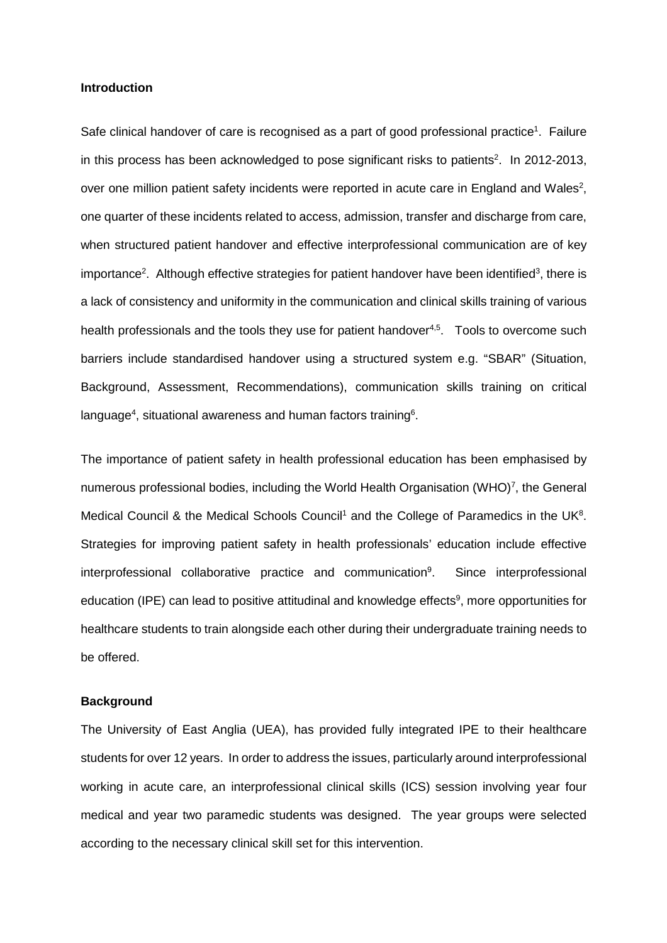#### **Introduction**

Safe clinical handover of care is recognised as a part of good professional practice<sup>1</sup>. Failure in this process has been acknowledged to pose significant risks to patients<sup>2</sup>. In 2012-2013, over one million patient safety incidents were reported in acute care in England and Wales<sup>2</sup>, one quarter of these incidents related to access, admission, transfer and discharge from care, when structured patient handover and effective interprofessional communication are of key importance<sup>2</sup>. Although effective strategies for patient handover have been identified<sup>3</sup>, there is a lack of consistency and uniformity in the communication and clinical skills training of various health professionals and the tools they use for patient handover<sup>4,5</sup>. Tools to overcome such barriers include standardised handover using a structured system e.g. "SBAR" (Situation, Background, Assessment, Recommendations), communication skills training on critical language<sup>4</sup>, situational awareness and human factors training<sup>6</sup>.

The importance of patient safety in health professional education has been emphasised by numerous professional bodies, including the World Health Organisation (WHO) $^7$ , the General Medical Council & the Medical Schools Council<sup>1</sup> and the College of Paramedics in the UK<sup>8</sup>. Strategies for improving patient safety in health professionals' education include effective interprofessional collaborative practice and communication<sup>9</sup>. . Since interprofessional education (IPE) can lead to positive attitudinal and knowledge effects<sup>9</sup>, more opportunities for healthcare students to train alongside each other during their undergraduate training needs to be offered.

#### **Background**

The University of East Anglia (UEA), has provided fully integrated IPE to their healthcare students for over 12 years. In order to address the issues, particularly around interprofessional working in acute care, an interprofessional clinical skills (ICS) session involving year four medical and year two paramedic students was designed. The year groups were selected according to the necessary clinical skill set for this intervention.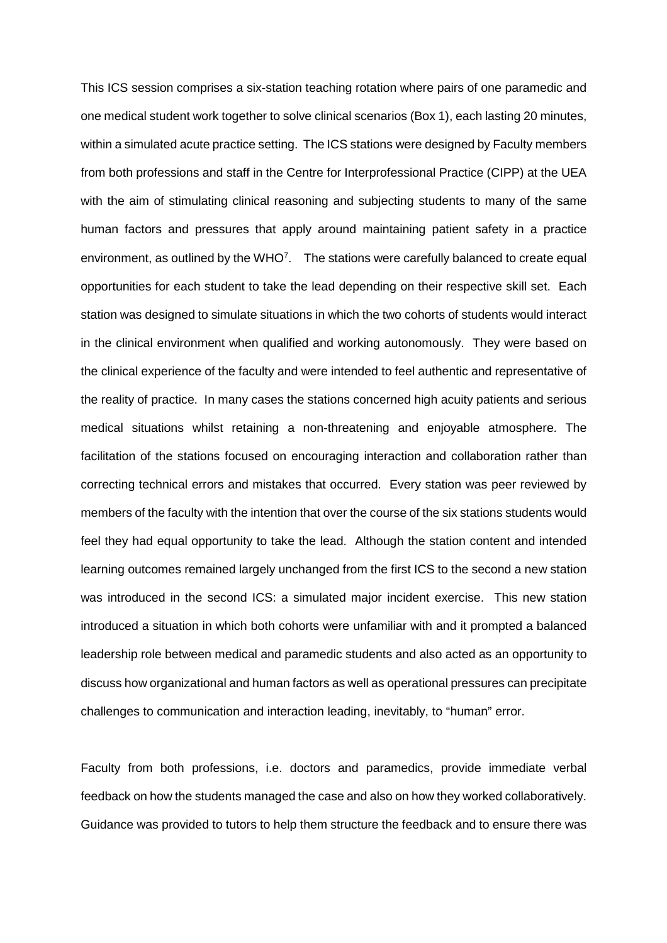This ICS session comprises a six-station teaching rotation where pairs of one paramedic and one medical student work together to solve clinical scenarios (Box 1), each lasting 20 minutes, within a simulated acute practice setting. The ICS stations were designed by Faculty members from both professions and staff in the Centre for Interprofessional Practice (CIPP) at the UEA with the aim of stimulating clinical reasoning and subjecting students to many of the same human factors and pressures that apply around maintaining patient safety in a practice environment, as outlined by the  $WHO<sup>7</sup>$ . The stations were carefully balanced to create equal opportunities for each student to take the lead depending on their respective skill set. Each station was designed to simulate situations in which the two cohorts of students would interact in the clinical environment when qualified and working autonomously. They were based on the clinical experience of the faculty and were intended to feel authentic and representative of the reality of practice. In many cases the stations concerned high acuity patients and serious medical situations whilst retaining a non-threatening and enjoyable atmosphere. The facilitation of the stations focused on encouraging interaction and collaboration rather than correcting technical errors and mistakes that occurred. Every station was peer reviewed by members of the faculty with the intention that over the course of the six stations students would feel they had equal opportunity to take the lead. Although the station content and intended learning outcomes remained largely unchanged from the first ICS to the second a new station was introduced in the second ICS: a simulated major incident exercise. This new station introduced a situation in which both cohorts were unfamiliar with and it prompted a balanced leadership role between medical and paramedic students and also acted as an opportunity to discuss how organizational and human factors as well as operational pressures can precipitate challenges to communication and interaction leading, inevitably, to "human" error.

Faculty from both professions, i.e. doctors and paramedics, provide immediate verbal feedback on how the students managed the case and also on how they worked collaboratively. Guidance was provided to tutors to help them structure the feedback and to ensure there was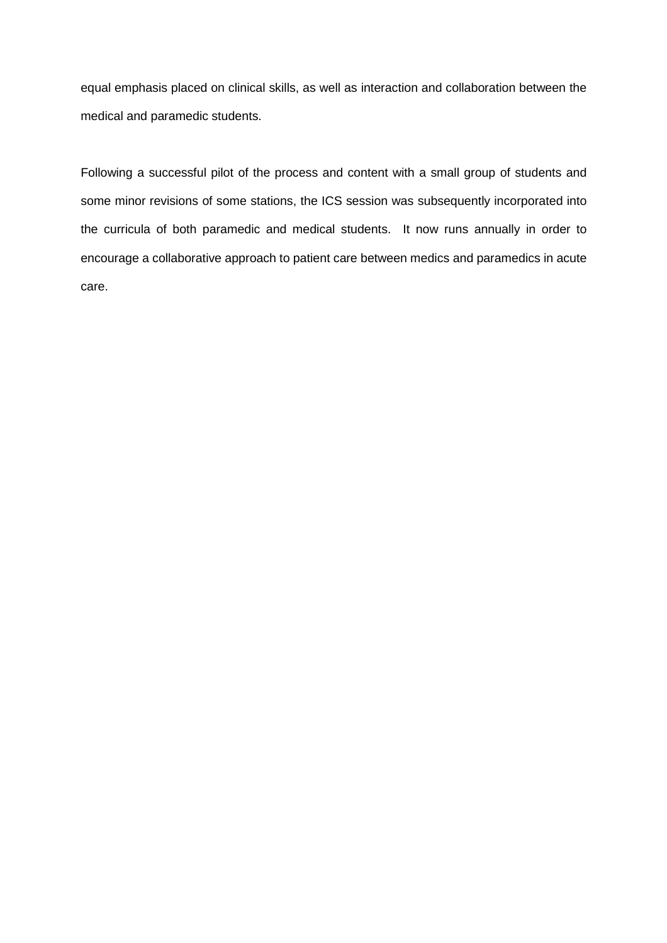equal emphasis placed on clinical skills, as well as interaction and collaboration between the medical and paramedic students.

Following a successful pilot of the process and content with a small group of students and some minor revisions of some stations, the ICS session was subsequently incorporated into the curricula of both paramedic and medical students. It now runs annually in order to encourage a collaborative approach to patient care between medics and paramedics in acute care.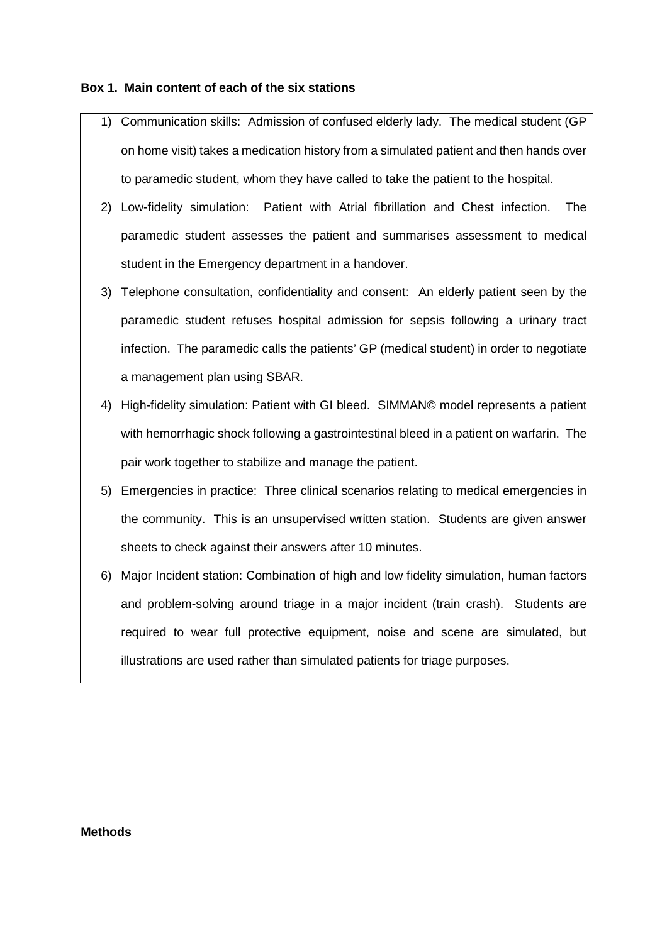## **Box 1. Main content of each of the six stations**

- 1) Communication skills: Admission of confused elderly lady. The medical student (GP on home visit) takes a medication history from a simulated patient and then hands over to paramedic student, whom they have called to take the patient to the hospital.
- 2) Low-fidelity simulation: Patient with Atrial fibrillation and Chest infection. The paramedic student assesses the patient and summarises assessment to medical student in the Emergency department in a handover.
- 3) Telephone consultation, confidentiality and consent: An elderly patient seen by the paramedic student refuses hospital admission for sepsis following a urinary tract infection. The paramedic calls the patients' GP (medical student) in order to negotiate a management plan using SBAR.
- 4) High-fidelity simulation: Patient with GI bleed. SIMMAN© model represents a patient with hemorrhagic shock following a gastrointestinal bleed in a patient on warfarin. The pair work together to stabilize and manage the patient.
- 5) Emergencies in practice: Three clinical scenarios relating to medical emergencies in the community. This is an unsupervised written station. Students are given answer sheets to check against their answers after 10 minutes.
- 6) Major Incident station: Combination of high and low fidelity simulation, human factors and problem-solving around triage in a major incident (train crash). Students are required to wear full protective equipment, noise and scene are simulated, but illustrations are used rather than simulated patients for triage purposes.

### **Methods**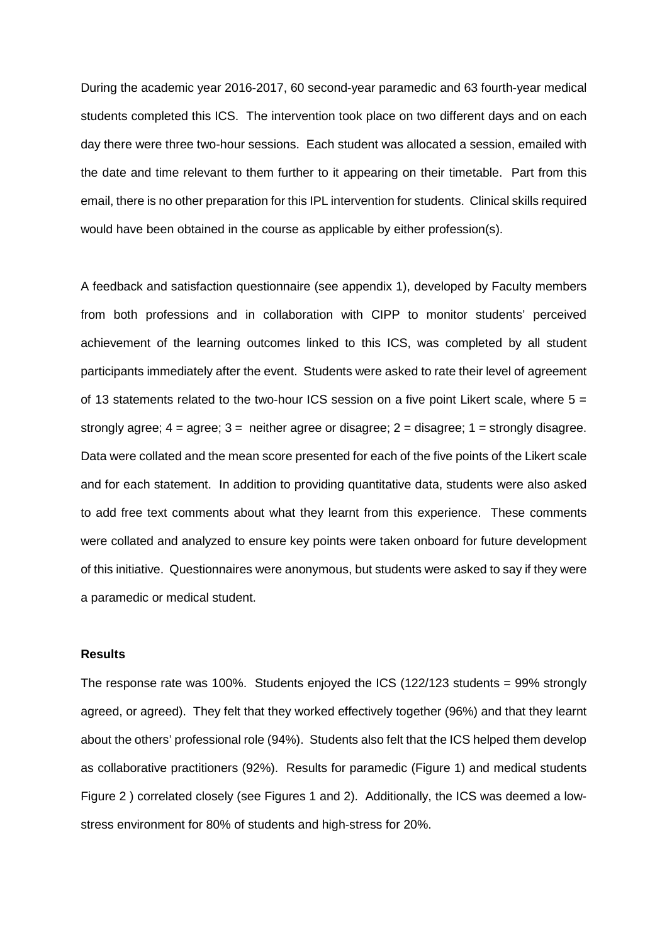During the academic year 2016-2017, 60 second-year paramedic and 63 fourth-year medical students completed this ICS. The intervention took place on two different days and on each day there were three two-hour sessions. Each student was allocated a session, emailed with the date and time relevant to them further to it appearing on their timetable. Part from this email, there is no other preparation for this IPL intervention for students. Clinical skills required would have been obtained in the course as applicable by either profession(s).

A feedback and satisfaction questionnaire (see appendix 1), developed by Faculty members from both professions and in collaboration with CIPP to monitor students' perceived achievement of the learning outcomes linked to this ICS, was completed by all student participants immediately after the event. Students were asked to rate their level of agreement of 13 statements related to the two-hour ICS session on a five point Likert scale, where  $5 =$ strongly agree;  $4 = \text{agree}$ ;  $3 = \text{ neither agree}$  or disagree;  $2 = \text{disagree}$ ;  $1 = \text{strongly disagree}$ . Data were collated and the mean score presented for each of the five points of the Likert scale and for each statement. In addition to providing quantitative data, students were also asked to add free text comments about what they learnt from this experience. These comments were collated and analyzed to ensure key points were taken onboard for future development of this initiative. Questionnaires were anonymous, but students were asked to say if they were a paramedic or medical student.

### **Results**

The response rate was 100%. Students enjoyed the ICS (122/123 students = 99% strongly agreed, or agreed). They felt that they worked effectively together (96%) and that they learnt about the others' professional role (94%). Students also felt that the ICS helped them develop as collaborative practitioners (92%). Results for paramedic (Figure 1) and medical students Figure 2 ) correlated closely (see Figures 1 and 2). Additionally, the ICS was deemed a lowstress environment for 80% of students and high-stress for 20%.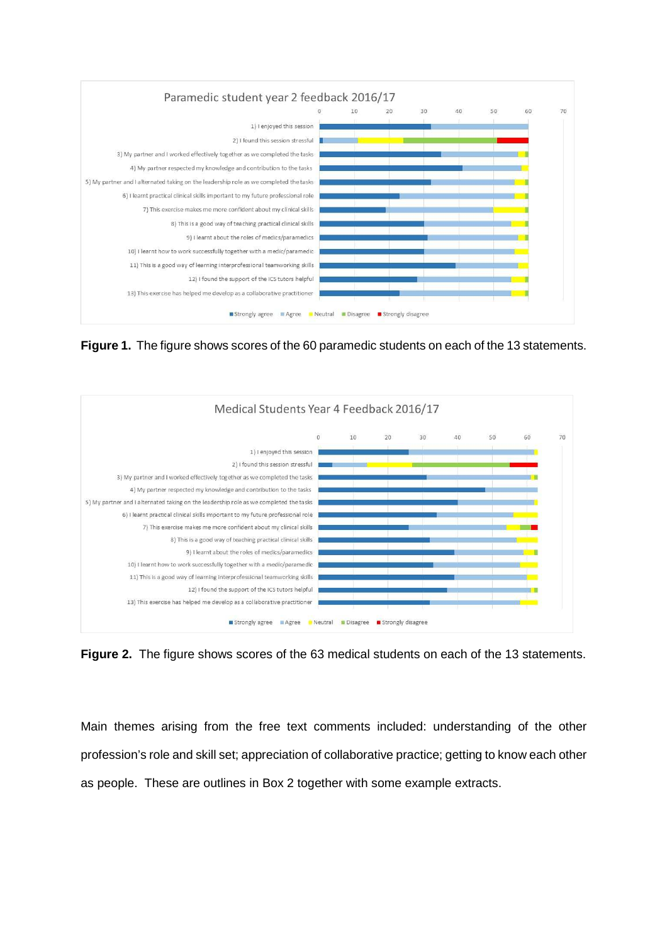

**Figure 1.** The figure shows scores of the 60 paramedic students on each of the 13 statements.



**Figure 2.** The figure shows scores of the 63 medical students on each of the 13 statements.

Main themes arising from the free text comments included: understanding of the other profession's role and skill set; appreciation of collaborative practice; getting to know each other as people. These are outlines in Box 2 together with some example extracts.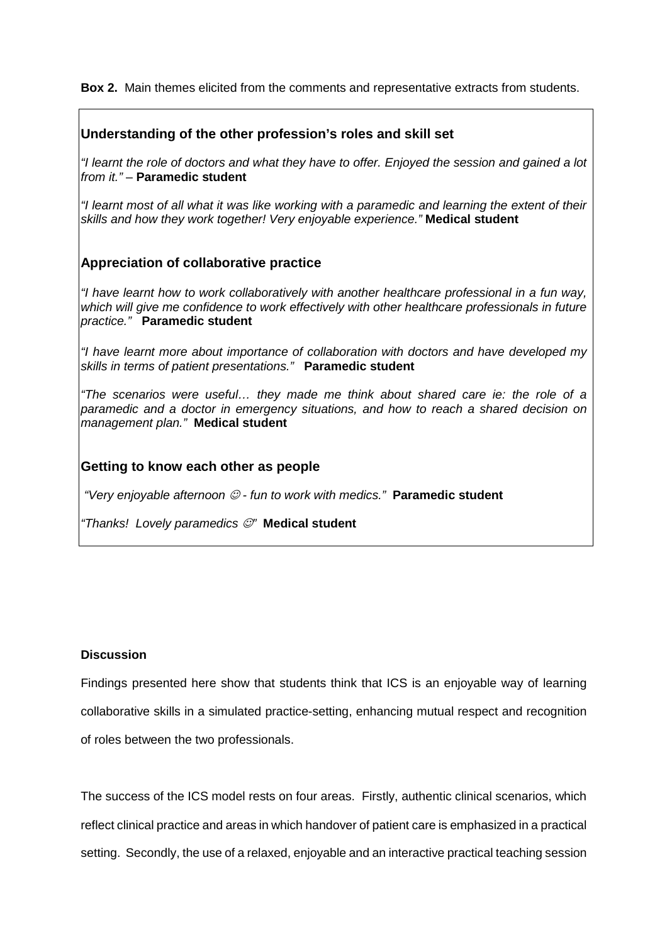**Box 2.** Main themes elicited from the comments and representative extracts from students.

# **Understanding of the other profession's roles and skill set**

"I learnt the role of doctors and what they have to offer. Enjoyed the session and gained a lot from it." – **Paramedic student**

"I learnt most of all what it was like working with a paramedic and learning the extent of their skills and how they work together! Very enjoyable experience." **Medical student** 

# **Appreciation of collaborative practice**

"I have learnt how to work collaboratively with another healthcare professional in a fun way, which will give me confidence to work effectively with other healthcare professionals in future practice." **Paramedic student**

"I have learnt more about importance of collaboration with doctors and have developed my skills in terms of patient presentations." **Paramedic student**

"The scenarios were useful… they made me think about shared care ie: the role of a paramedic and a doctor in emergency situations, and how to reach a shared decision on management plan." **Medical student** 

## **Getting to know each other as people**

"Very enjoyable afternoon ☺ - fun to work with medics." **Paramedic student**

"Thanks! Lovely paramedics ☺" **Medical student**

## **Discussion**

Findings presented here show that students think that ICS is an enjoyable way of learning collaborative skills in a simulated practice-setting, enhancing mutual respect and recognition of roles between the two professionals.

The success of the ICS model rests on four areas. Firstly, authentic clinical scenarios, which reflect clinical practice and areas in which handover of patient care is emphasized in a practical setting. Secondly, the use of a relaxed, enjoyable and an interactive practical teaching session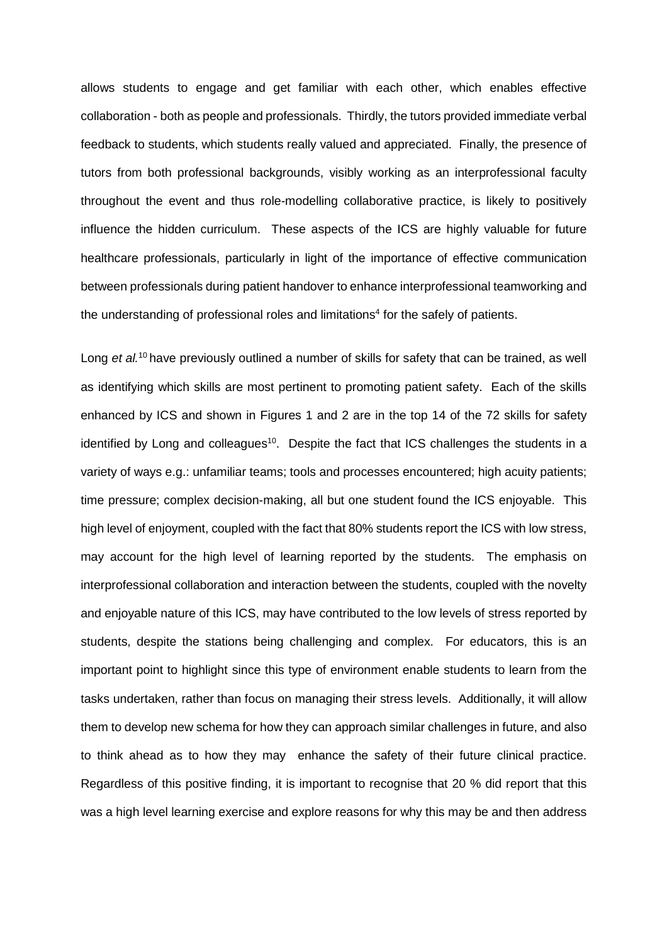allows students to engage and get familiar with each other, which enables effective collaboration - both as people and professionals. Thirdly, the tutors provided immediate verbal feedback to students, which students really valued and appreciated. Finally, the presence of tutors from both professional backgrounds, visibly working as an interprofessional faculty throughout the event and thus role-modelling collaborative practice, is likely to positively influence the hidden curriculum. These aspects of the ICS are highly valuable for future healthcare professionals, particularly in light of the importance of effective communication between professionals during patient handover to enhance interprofessional teamworking and the understanding of professional roles and limitations $4$  for the safely of patients.

Long et  $al^{10}$  have previously outlined a number of skills for safety that can be trained, as well as identifying which skills are most pertinent to promoting patient safety. Each of the skills enhanced by ICS and shown in Figures 1 and 2 are in the top 14 of the 72 skills for safety identified by Long and colleagues<sup>10</sup>. Despite the fact that ICS challenges the students in a variety of ways e.g.: unfamiliar teams; tools and processes encountered; high acuity patients; time pressure; complex decision-making, all but one student found the ICS enjoyable. This high level of enjoyment, coupled with the fact that 80% students report the ICS with low stress, may account for the high level of learning reported by the students. The emphasis on interprofessional collaboration and interaction between the students, coupled with the novelty and enjoyable nature of this ICS, may have contributed to the low levels of stress reported by students, despite the stations being challenging and complex. For educators, this is an important point to highlight since this type of environment enable students to learn from the tasks undertaken, rather than focus on managing their stress levels. Additionally, it will allow them to develop new schema for how they can approach similar challenges in future, and also to think ahead as to how they may enhance the safety of their future clinical practice. Regardless of this positive finding, it is important to recognise that 20 % did report that this was a high level learning exercise and explore reasons for why this may be and then address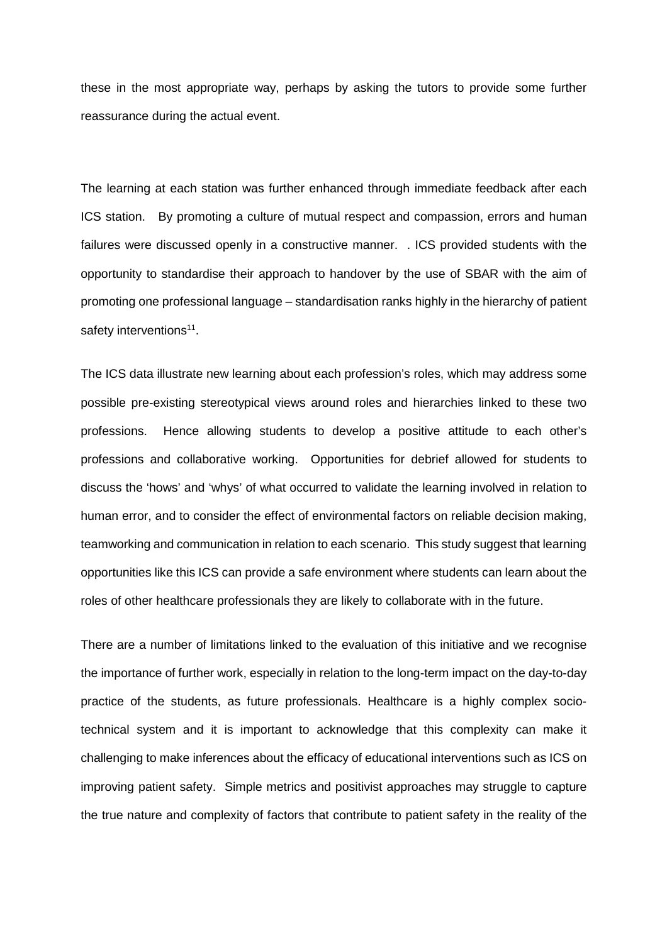these in the most appropriate way, perhaps by asking the tutors to provide some further reassurance during the actual event.

The learning at each station was further enhanced through immediate feedback after each ICS station. By promoting a culture of mutual respect and compassion, errors and human failures were discussed openly in a constructive manner. . ICS provided students with the opportunity to standardise their approach to handover by the use of SBAR with the aim of promoting one professional language – standardisation ranks highly in the hierarchy of patient safety interventions<sup>11</sup>.

The ICS data illustrate new learning about each profession's roles, which may address some possible pre-existing stereotypical views around roles and hierarchies linked to these two professions. Hence allowing students to develop a positive attitude to each other's professions and collaborative working. Opportunities for debrief allowed for students to discuss the 'hows' and 'whys' of what occurred to validate the learning involved in relation to human error, and to consider the effect of environmental factors on reliable decision making, teamworking and communication in relation to each scenario. This study suggest that learning opportunities like this ICS can provide a safe environment where students can learn about the roles of other healthcare professionals they are likely to collaborate with in the future.

There are a number of limitations linked to the evaluation of this initiative and we recognise the importance of further work, especially in relation to the long-term impact on the day-to-day practice of the students, as future professionals. Healthcare is a highly complex sociotechnical system and it is important to acknowledge that this complexity can make it challenging to make inferences about the efficacy of educational interventions such as ICS on improving patient safety. Simple metrics and positivist approaches may struggle to capture the true nature and complexity of factors that contribute to patient safety in the reality of the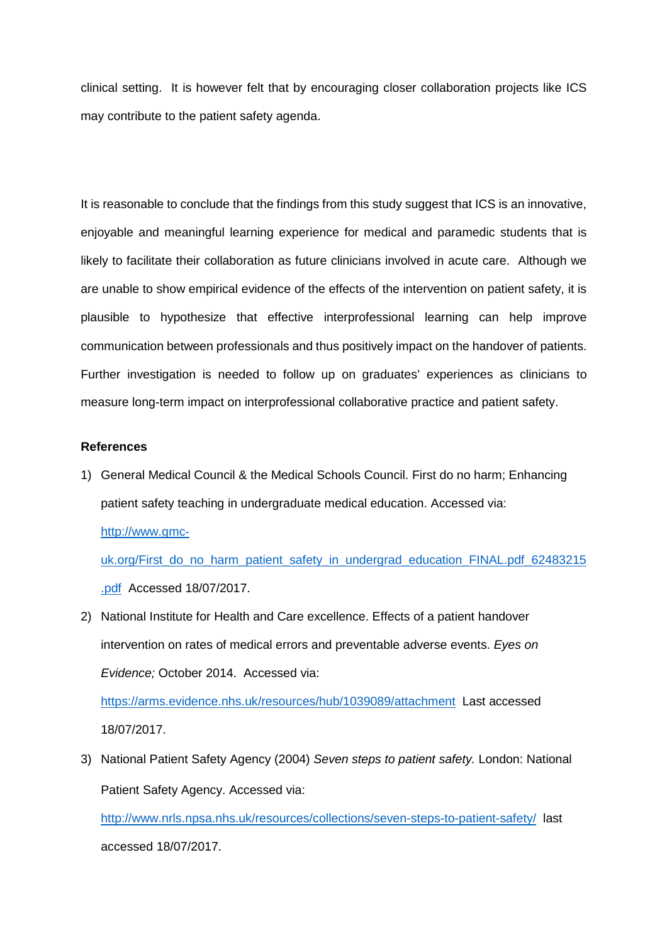clinical setting. It is however felt that by encouraging closer collaboration projects like ICS may contribute to the patient safety agenda.

It is reasonable to conclude that the findings from this study suggest that ICS is an innovative, enjoyable and meaningful learning experience for medical and paramedic students that is likely to facilitate their collaboration as future clinicians involved in acute care. Although we are unable to show empirical evidence of the effects of the intervention on patient safety, it is plausible to hypothesize that effective interprofessional learning can help improve communication between professionals and thus positively impact on the handover of patients. Further investigation is needed to follow up on graduates' experiences as clinicians to measure long-term impact on interprofessional collaborative practice and patient safety.

### **References**

1) General Medical Council & the Medical Schools Council. First do no harm; Enhancing patient safety teaching in undergraduate medical education. Accessed via:

http://www.gmc-

uk.org/First\_do\_no\_harm\_patient\_safety\_in\_undergrad\_education\_FINAL.pdf\_62483215 .pdf Accessed 18/07/2017.

2) National Institute for Health and Care excellence. Effects of a patient handover intervention on rates of medical errors and preventable adverse events. Eyes on Evidence; October 2014. Accessed via:

https://arms.evidence.nhs.uk/resources/hub/1039089/attachment Last accessed 18/07/2017.

3) National Patient Safety Agency (2004) Seven steps to patient safety. London: National Patient Safety Agency. Accessed via:

http://www.nrls.npsa.nhs.uk/resources/collections/seven-steps-to-patient-safety/ last accessed 18/07/2017.